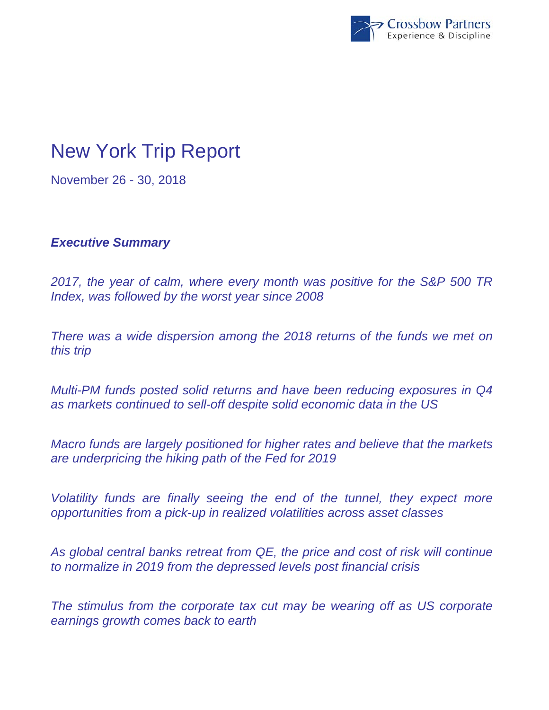

## New York Trip Report

November 26 - 30, 2018

*Executive Summary* 

*2017, the year of calm, where every month was positive for the S&P 500 TR Index, was followed by the worst year since 2008* 

*There was a wide dispersion among the 2018 returns of the funds we met on this trip* 

*Multi-PM funds posted solid returns and have been reducing exposures in Q4 as markets continued to sell-off despite solid economic data in the US* 

*Macro funds are largely positioned for higher rates and believe that the markets are underpricing the hiking path of the Fed for 2019* 

*Volatility funds are finally seeing the end of the tunnel, they expect more opportunities from a pick-up in realized volatilities across asset classes* 

*As global central banks retreat from QE, the price and cost of risk will continue to normalize in 2019 from the depressed levels post financial crisis* 

*The stimulus from the corporate tax cut may be wearing off as US corporate earnings growth comes back to earth*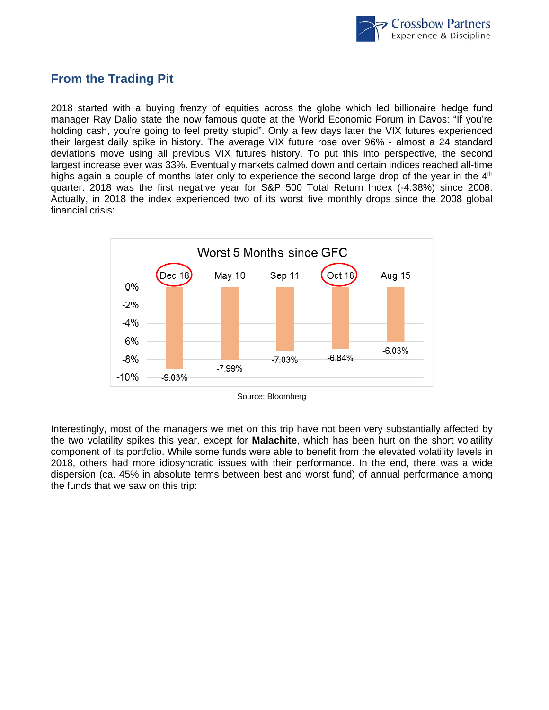

## **From the Trading Pit**

2018 started with a buying frenzy of equities across the globe which led billionaire hedge fund manager Ray Dalio state the now famous quote at the World Economic Forum in Davos: "If you're holding cash, you're going to feel pretty stupid". Only a few days later the VIX futures experienced their largest daily spike in history. The average VIX future rose over 96% - almost a 24 standard deviations move using all previous VIX futures history. To put this into perspective, the second largest increase ever was 33%. Eventually markets calmed down and certain indices reached all-time highs again a couple of months later only to experience the second large drop of the year in the  $4<sup>th</sup>$ quarter. 2018 was the first negative year for S&P 500 Total Return Index (-4.38%) since 2008. Actually, in 2018 the index experienced two of its worst five monthly drops since the 2008 global financial crisis:



Source: Bloomberg

Interestingly, most of the managers we met on this trip have not been very substantially affected by the two volatility spikes this year, except for **Malachite**, which has been hurt on the short volatility component of its portfolio. While some funds were able to benefit from the elevated volatility levels in 2018, others had more idiosyncratic issues with their performance. In the end, there was a wide dispersion (ca. 45% in absolute terms between best and worst fund) of annual performance among the funds that we saw on this trip: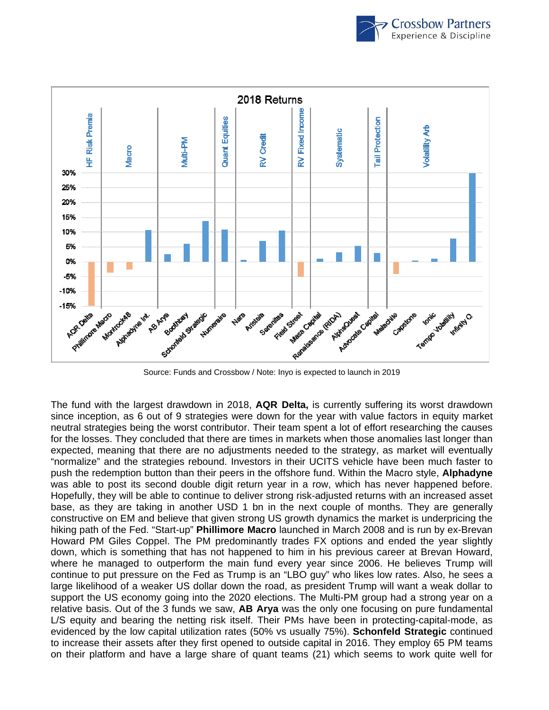



Source: Funds and Crossbow / Note: Inyo is expected to launch in 2019

The fund with the largest drawdown in 2018, **AQR Delta,** is currently suffering its worst drawdown since inception, as 6 out of 9 strategies were down for the year with value factors in equity market neutral strategies being the worst contributor. Their team spent a lot of effort researching the causes for the losses. They concluded that there are times in markets when those anomalies last longer than expected, meaning that there are no adjustments needed to the strategy, as market will eventually "normalize" and the strategies rebound. Investors in their UCITS vehicle have been much faster to push the redemption button than their peers in the offshore fund. Within the Macro style, **Alphadyne** was able to post its second double digit return year in a row, which has never happened before. Hopefully, they will be able to continue to deliver strong risk-adjusted returns with an increased asset base, as they are taking in another USD 1 bn in the next couple of months. They are generally constructive on EM and believe that given strong US growth dynamics the market is underpricing the hiking path of the Fed. "Start-up" **Phillimore Macro** launched in March 2008 and is run by ex-Brevan Howard PM Giles Coppel. The PM predominantly trades FX options and ended the year slightly down, which is something that has not happened to him in his previous career at Brevan Howard, where he managed to outperform the main fund every year since 2006. He believes Trump will continue to put pressure on the Fed as Trump is an "LBO guy" who likes low rates. Also, he sees a large likelihood of a weaker US dollar down the road, as president Trump will want a weak dollar to support the US economy going into the 2020 elections. The Multi-PM group had a strong year on a relative basis. Out of the 3 funds we saw, **AB Arya** was the only one focusing on pure fundamental L/S equity and bearing the netting risk itself. Their PMs have been in protecting-capital-mode, as evidenced by the low capital utilization rates (50% vs usually 75%). **Schonfeld Strategic** continued to increase their assets after they first opened to outside capital in 2016. They employ 65 PM teams on their platform and have a large share of quant teams (21) which seems to work quite well for